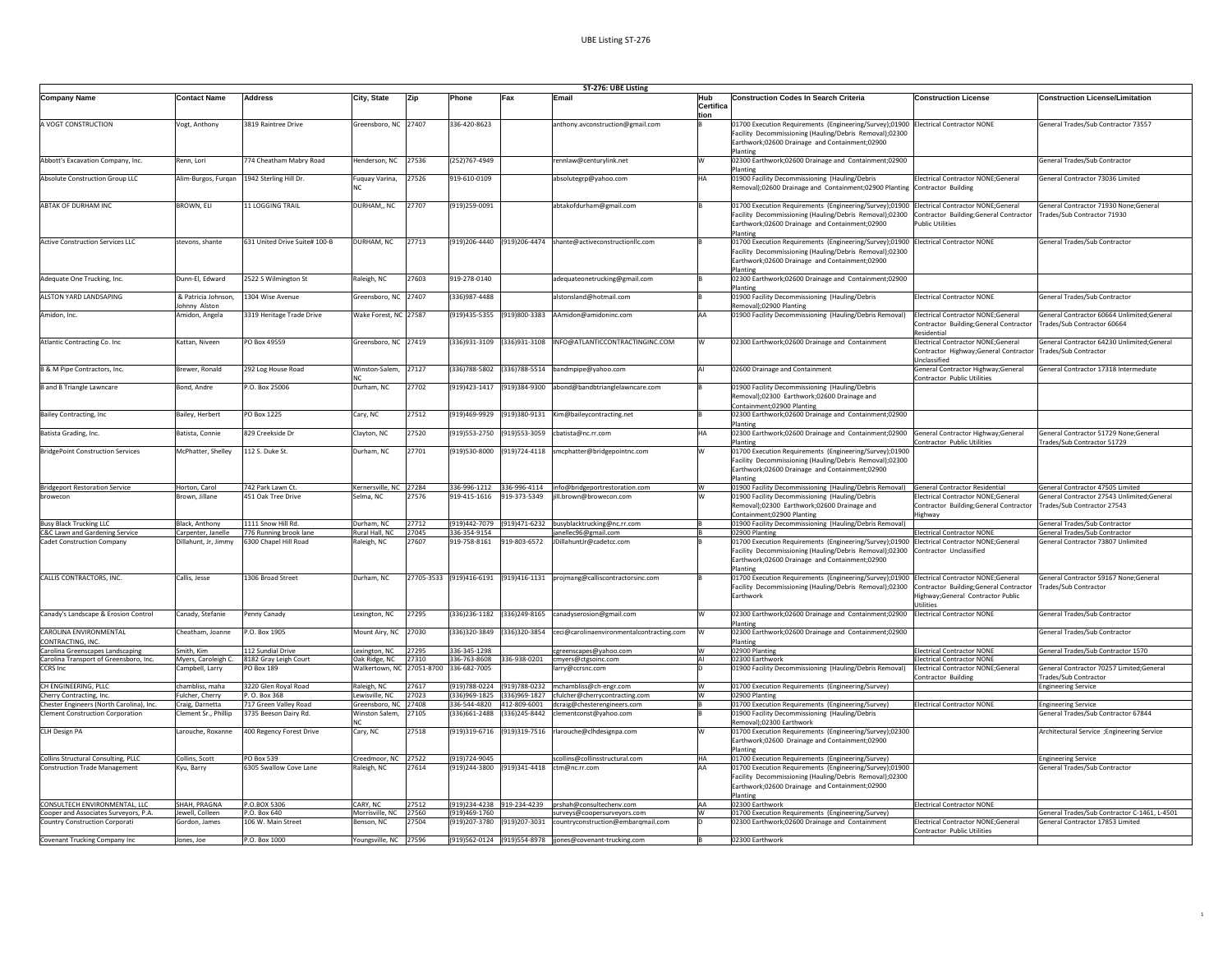| ST-276: UBE Listing                                                         |                                            |                                                 |                                                  |                |                                                             |              |                                                                                               |                          |                                                                                                                                                                                                                                       |                                                                                                                                       |                                                                                  |
|-----------------------------------------------------------------------------|--------------------------------------------|-------------------------------------------------|--------------------------------------------------|----------------|-------------------------------------------------------------|--------------|-----------------------------------------------------------------------------------------------|--------------------------|---------------------------------------------------------------------------------------------------------------------------------------------------------------------------------------------------------------------------------------|---------------------------------------------------------------------------------------------------------------------------------------|----------------------------------------------------------------------------------|
| <b>Company Name</b>                                                         | <b>Contact Name</b>                        | <b>Address</b>                                  | City, State                                      | Zip            | Phone                                                       | Fax          | Emai                                                                                          | Hub<br>Certifica<br>tion | <b>Construction Codes In Search Criteria</b>                                                                                                                                                                                          | <b>Construction License</b>                                                                                                           | <b>Construction License/Limitation</b>                                           |
| A VOGT CONSTRUCTION                                                         | Vogt, Anthony                              | 3819 Raintree Drive                             | Greensboro, NC 27407                             |                | 336-420-8623                                                |              | anthony.avconstruction@gmail.com                                                              |                          | 01700 Execution Requirements (Engineering/Survey);01900<br>Facility Decommissioning (Hauling/Debris Removal);02300<br>Earthwork;02600 Drainage and Containment;02900<br>Planting                                                      | <b>Electrical Contractor NONE</b>                                                                                                     | General Trades/Sub Contractor 73557                                              |
| Abbott's Excavation Company, Inc.                                           | Renn, Lori                                 | 774 Cheatham Mabry Road                         | Henderson, NC                                    | 27536          | (252)767-4949                                               |              | rennlaw@centurylink.net                                                                       |                          | 02300 Earthwork;02600 Drainage and Containment;02900<br>Planting                                                                                                                                                                      |                                                                                                                                       | General Trades/Sub Contractor                                                    |
| Absolute Construction Group LLC                                             | Alim-Burgos, Furqan 1942 Sterling Hill Dr. |                                                 | Fuquay Varina,                                   | 27526          | 919-610-0109                                                |              | absolutegrp@yahoo.com                                                                         | HΔ                       | 01900 Facility Decommissioning (Hauling/Debris<br>Removal);02600 Drainage and Containment;02900 Planting                                                                                                                              | Electrical Contractor NONE;General<br>Contractor Building                                                                             | General Contractor 73036 Limited                                                 |
| ABTAK OF DURHAM INC                                                         | BROWN, ELI                                 | 11 LOGGING TRAIL                                | DURHAM,, NC                                      | 27707          | (919)259-0091                                               |              | abtakofdurham@gmail.com                                                                       |                          | 01700 Execution Requirements (Engineering/Survey);01900<br>Facility Decommissioning (Hauling/Debris Removal);02300<br>Earthwork;02600 Drainage and Containment;02900<br>Planting                                                      | <b>Electrical Contractor NONE:General</b><br>Contractor Building;General Contractor<br>ublic Utilities                                | General Contractor 71930 None;General<br>Trades/Sub Contractor 71930             |
| <b>Active Construction Services LLC</b>                                     | stevons, shante                            | 631 United Drive Suite# 100-B                   | DURHAM, NC                                       | 27713          |                                                             |              | (919)206-4440 (919)206-4474 shante@activeconstructionllc.com                                  |                          | 01700 Execution Requirements (Engineering/Survey);01900<br>Facility Decommissioning (Hauling/Debris Removal):02300<br>Earthwork;02600 Drainage and Containment;02900<br>Planting                                                      | <b>Electrical Contractor NONE</b>                                                                                                     | General Trades/Sub Contractor                                                    |
| Adequate One Trucking, Inc.                                                 | Dunn-El, Edward                            | 2522 S Wilmington St                            | Raleigh, NC                                      | 27603          | 919-278-0140                                                |              | adequateonetrucking@gmail.com                                                                 |                          | 02300 Earthwork;02600 Drainage and Containment;02900<br>Planting                                                                                                                                                                      |                                                                                                                                       |                                                                                  |
| ALSTON YARD LANDSAPING                                                      | & Patricia Johnson.<br>ohnny Alston        | 1304 Wise Avenue                                | Greensboro, NC                                   | 27407          | (336) 987-4488                                              |              | alstonsland@hotmail.com                                                                       |                          | 01900 Facility Decommissioning (Hauling/Debris<br>temoval);02900 Planting                                                                                                                                                             | Electrical Contractor NONE                                                                                                            | <b>Seneral Trades/Sub Contractor</b>                                             |
| Amidon, Inc.                                                                | Amidon, Angela                             | 3319 Heritage Trade Drive                       | Wake Forest, NC 27587                            |                |                                                             |              | (919)435-5355 (919)800-3383 AAmidon@amidoninc.com                                             |                          | 01900 Facility Decommissioning (Hauling/Debris Removal)                                                                                                                                                                               | <b>Electrical Contractor NONE:General</b><br>Contractor Building;General Contractor<br>Residential                                    | General Contractor 60664 Unlimited:General<br>Trades/Sub Contractor 60664        |
| Atlantic Contracting Co. Inc.                                               | Kattan, Niveen                             | PO Box 49559                                    | Greensboro, NC 27419                             |                |                                                             |              | 336)931-3109 (336)931-3108 INFO@ATLANTICCONTRACTINGINC.COM                                    |                          | 02300 Earthwork;02600 Drainage and Containment                                                                                                                                                                                        | Electrical Contractor NONE;General<br>Contractor Highway;General Contracto<br>Unclassified                                            | General Contractor 64230 Unlimited;General<br>Trades/Sub Contractor              |
| B & M Pipe Contractors, Inc.                                                | Brewer, Ronald                             | 292 Log House Road                              | Winston-Salem,                                   | 27127          |                                                             |              | (336)788-5802 (336)788-5514 bandmpipe@yahoo.com                                               |                          | 02600 Drainage and Containment                                                                                                                                                                                                        | General Contractor Highway;General<br>Contractor Public Utilities                                                                     | General Contractor 17318 Intermediate                                            |
| <b>B</b> and <b>B</b> Triangle Lawncare                                     | Bond, Andre                                | P.O. Box 25006                                  | Durham, NC                                       | 27702          |                                                             |              | (919)423-1417 (919)384-9300 abond@bandbtrianglelawncare.com                                   |                          | 01900 Facility Decommissioning (Hauling/Debris<br>temoval);02300 Earthwork;02600 Drainage and<br>Containment;02900 Planting                                                                                                           |                                                                                                                                       |                                                                                  |
| Bailey Contracting, Inc                                                     | Bailey, Herbert                            | PO Box 1225                                     | Cary, NC                                         | 27512          |                                                             |              | (919)469-9929 (919)380-9131 Kim@baileycontracting.net                                         |                          | 02300 Earthwork;02600 Drainage and Containment;02900<br>Planting                                                                                                                                                                      |                                                                                                                                       |                                                                                  |
| Batista Grading, Inc.                                                       | Batista, Connie                            | 829 Creekside Dr                                | Clayton, NC                                      | 27520          |                                                             |              | (919)553-2750 (919)553-3059 cbatista@nc.rr.com                                                | HΔ                       | 02300 Earthwork;02600 Drainage and Containment;02900<br>Planting                                                                                                                                                                      | General Contractor Highway;General<br>Contractor Public Utilities                                                                     | General Contractor 51729 None;General<br>Trades/Sub Contractor 51729             |
| <b>BridgePoint Construction Services</b>                                    | McPhatter, Shelley                         | 112 S. Duke St.                                 | Durham, NC                                       | 27701          |                                                             |              | (919)530-8000 (919)724-4118 smcphatter@bridgepointnc.com                                      |                          | 01700 Execution Requirements (Engineering/Survey);01900<br>Facility Decommissioning (Hauling/Debris Removal);02300<br>Earthwork;02600 Drainage and Containment;02900<br>Planting                                                      |                                                                                                                                       |                                                                                  |
| <b>Bridgeport Restoration Service</b>                                       | Horton, Carol                              | 742 Park Lawn Ct.                               | Kernersville, NC 27284                           |                |                                                             |              | 336-996-1212 336-996-4114 info@bridgeportrestoration.com                                      | w                        | 01900 Facility Decommissioning (Hauling/Debris Removal)                                                                                                                                                                               | General Contractor Residential                                                                                                        | General Contractor 47505 Limited                                                 |
| browecon                                                                    | Brown, Jillane                             | 451 Oak Tree Drive                              | Selma, NC                                        | 27576          | 919-415-1616                                                |              | 919-373-5349 jill.brown@browecon.com                                                          |                          | 01900 Facility Decommissioning (Hauling/Debris<br>Removal);02300 Earthwork;02600 Drainage and<br>Containment;02900 Planting                                                                                                           | Electrical Contractor NONE:General<br>Contractor Building;General Contractor<br>ighway                                                | General Contractor 27543 Unlimited:General<br>Trades/Sub Contractor 27543        |
| <b>Busy Black Trucking LLC</b>                                              | Black, Anthony<br>Carpenter, Janelle       | 1111 Snow Hill Rd.                              | Durham, NC<br>Rural Hall, NC                     | 27712<br>27045 | 336-354-9154                                                |              | (919)442-7079 (919)471-6232 busyblacktrucking@nc.rr.com                                       |                          | 01900 Facility Decommissioning (Hauling/Debris Removal)                                                                                                                                                                               | Electrical Contractor NONE                                                                                                            | General Trades/Sub Contractor                                                    |
| C&C Lawn and Gardening Service<br><b>Cadet Construction Company</b>         | Dillahunt, Jr. Jimmy                       | 776 Running brook lane<br>6300 Chapel Hill Road | Raleigh, NC                                      | 27607          | 919-758-8161                                                |              | janellec96@gmail.com<br>919-803-6572 JDillahuntJr@cadetcc.com                                 |                          | 02900 Planting<br>01700 Execution Requirements (Engineering/Survey):01900<br>Facility Decommissioning (Hauling/Debris Removal);02300<br>Earthwork;02600 Drainage and Containment;02900<br>Planting                                    | <b>Electrical Contractor NONE:General</b><br>Contractor Unclassified                                                                  | General Trades/Sub Contractor<br>General Contractor 73807 Unlimited              |
| CALLIS CONTRACTORS, INC.                                                    | Callis, Jesse                              | 1306 Broad Street                               | Durham, NC                                       |                |                                                             |              | 27705-3533 (919)416-6191 (919)416-1131 projmang@calliscontractorsinc.com                      |                          | 01700 Execution Requirements (Engineering/Survey);01900<br>Facility Decommissioning (Hauling/Debris Removal);02300<br>Earthwork                                                                                                       | Electrical Contractor NONE;General<br>Contractor Building;General Contractor<br>lighway;General Contractor Public<br><b>Utilities</b> | General Contractor 59167 None;General<br>Frades/Sub Contractor                   |
| Canady's Landscape & Erosion Control                                        | Canady, Stefanie                           | Penny Canady                                    | Lexington, NC                                    | 27295          |                                                             |              | (336)236-1182 (336)249-8165 canadyserosion@gmail.com                                          |                          | 02300 Earthwork;02600 Drainage and Containment;02900<br>Planting                                                                                                                                                                      | <b>Electrical Contractor NONE</b>                                                                                                     | General Trades/Sub Contractor                                                    |
| CAROLINA FNVIRONMENTAL<br>CONTRACTING, INC.                                 | heatham, Joanne                            | P.O. Box 1905                                   | Mount Airy, NC                                   | 27030          | (336)320-3849                                               |              | (336)320-3854 ceci@carolinaenvironmentalcontracting.com                                       |                          | 02300 Earthwork;02600 Drainage and Containment;02900<br>Planting                                                                                                                                                                      |                                                                                                                                       | General Trades/Sub Contractor                                                    |
| Carolina Greenscapes Landscaping                                            | Smith, Kim                                 | 112 Sundial Drive                               | Lexington, NC                                    | 27295          | 336-345-1298                                                |              | cgreenscapes@yahoo.com                                                                        | w                        | 02900 Planting                                                                                                                                                                                                                        | <b>Electrical Contractor NONE</b>                                                                                                     | General Trades/Sub Contractor 1570                                               |
| Carolina Transport of Greensboro, Inc.<br><b>CCRS</b> Inc.                  | Myers, Caroleigh C.<br>Campbell, Larry     | 8182 Gray Leigh Court<br><b>PO Box 189</b>      | Oak Ridge, NC 27310<br>Walkertown, NC 27051-8700 |                | 336-682-7005                                                |              | 336-763-8608 336-938-0201 cmyers@ctgsoinc.com<br>larry@ccrsnc.com                             | AI                       | 02300 Earthwork<br>01900 Facility Decommissioning (Hauling/Debris Removal)                                                                                                                                                            | Electrical Contractor NONE<br>Electrical Contractor NONE:General                                                                      | General Contractor 70257 Limited;General                                         |
| CH ENGINEERING, PLLC                                                        | chambliss, maha                            | 3220 Glen Royal Road                            | Raleigh, NC                                      | 27617          |                                                             |              | (919)788-0224 (919)788-0232 mchambliss@ch-engr.com                                            | w                        | 01700 Execution Requirements (Engineering/Survey)                                                                                                                                                                                     | ontractor Building                                                                                                                    | Trades/Sub Contractor<br><b>Engineering Service</b>                              |
| Cherry Contracting, Inc.                                                    | Fulcher, Cherry                            | P. O. Box 368                                   | Lewisville, NC                                   | 27023          |                                                             |              | (336)969-1825 (336)969-1827 cfulcher@cherrycontracting.com                                    | w                        | 02900 Planting                                                                                                                                                                                                                        |                                                                                                                                       |                                                                                  |
| Chester Engineers (North Carolina), Inc.                                    | Craig, Darnetta                            | 717 Green Valley Road                           | Greensboro, NC                                   | 27408          |                                                             |              | 336-544-4820 412-809-6001 dcraig@chesterengineers.com                                         |                          | 01700 Execution Requirements (Engineering/Survey)                                                                                                                                                                                     | <b>Electrical Contractor NONE</b>                                                                                                     | <b>Engineering Service</b>                                                       |
| Clement Construction Corporation                                            | lement Sr., Phillip                        | 3735 Beeson Dairy Rd                            | <b>Ninston Salem</b><br>NO                       | 7105           | 336)661-2488                                                | 336)245-8442 | mentconst@vahoo.com                                                                           |                          | 1900 Facility Decommissioning (Hauling/Debris<br>Removal);02300 Earthwork                                                                                                                                                             |                                                                                                                                       | eneral Trades/Sub Contractor 67844                                               |
| CLH Design PA                                                               | Larouche, Roxanne                          | 400 Regency Forest Drive                        | Cary, NC                                         | 27518          |                                                             |              | (919)319-6716 (919)319-7516 rlarouche@clhdesignpa.com                                         |                          | 01700 Execution Requirements (Engineering/Survey);02300<br>Earthwork;02600 Drainage and Containment;02900<br>Planting                                                                                                                 |                                                                                                                                       | Architectural Service ; Engineering Service                                      |
| Collins Structural Consulting, PLLC<br><b>Construction Trade Management</b> | Collins, Scott<br>Kyu, Barry               | PO Box 539<br>6305 Swallow Cove Lane            | Creedmoor, NC<br>Raleigh, NC                     | 27522<br>27614 | (919) 724-9045<br>(919)244-3800 (919)341-4418 ctm@nc.rr.com |              | scollins@collinsstructural.com                                                                | HA                       | 01700 Execution Requirements (Engineering/Survey)<br>01700 Execution Requirements (Engineering/Survey);01900<br>Facility Decommissioning (Hauling/Debris Removal);02300<br>Earthwork;02600 Drainage and Containment;02900<br>Planting |                                                                                                                                       | <b>Engineering Service</b><br>General Trades/Sub Contractor                      |
| CONSULTECH ENVIRONMENTAL, LLC                                               | SHAH, PRAGNA                               | P.O.BOX 5306                                    | CARY, NC                                         | 27512          |                                                             |              | (919)234-4238 919-234-4239 prshah@consultechenv.com                                           | AA                       | 02300 Earthwork                                                                                                                                                                                                                       | lectrical Contractor NONE                                                                                                             |                                                                                  |
| Cooper and Associates Surveyors, P.A.<br>Country Construction Corporati     | Jewell, Colleen<br>Gordon, James           | P.O. Box 640<br>106 W. Main Street              | Morrisville, NC<br>Benson, NC                    | 27560<br>27504 | (919)469-1760                                               |              | surveys@coopersurveyors.com<br>(919)207-3780 (919)207-3031 countryconstruction@embarqmail.com |                          | 01700 Execution Requirements (Engineering/Survey)<br>02300 Earthwork;02600 Drainage and Containment                                                                                                                                   | Electrical Contractor NONE; General                                                                                                   | General Trades/Sub Contractor C-1461, L-4501<br>General Contractor 17853 Limited |
| Covenant Trucking Company Inc                                               | Jones, Joe                                 | P.O. Box 1000                                   | Youngsville, NC 27596                            |                |                                                             |              | (919)562-0124 (919)554-8978 jjones@covenant-trucking.com                                      |                          | 02300 Earthwork                                                                                                                                                                                                                       | Contractor Public Utilities                                                                                                           |                                                                                  |
|                                                                             |                                            |                                                 |                                                  |                |                                                             |              |                                                                                               |                          |                                                                                                                                                                                                                                       |                                                                                                                                       |                                                                                  |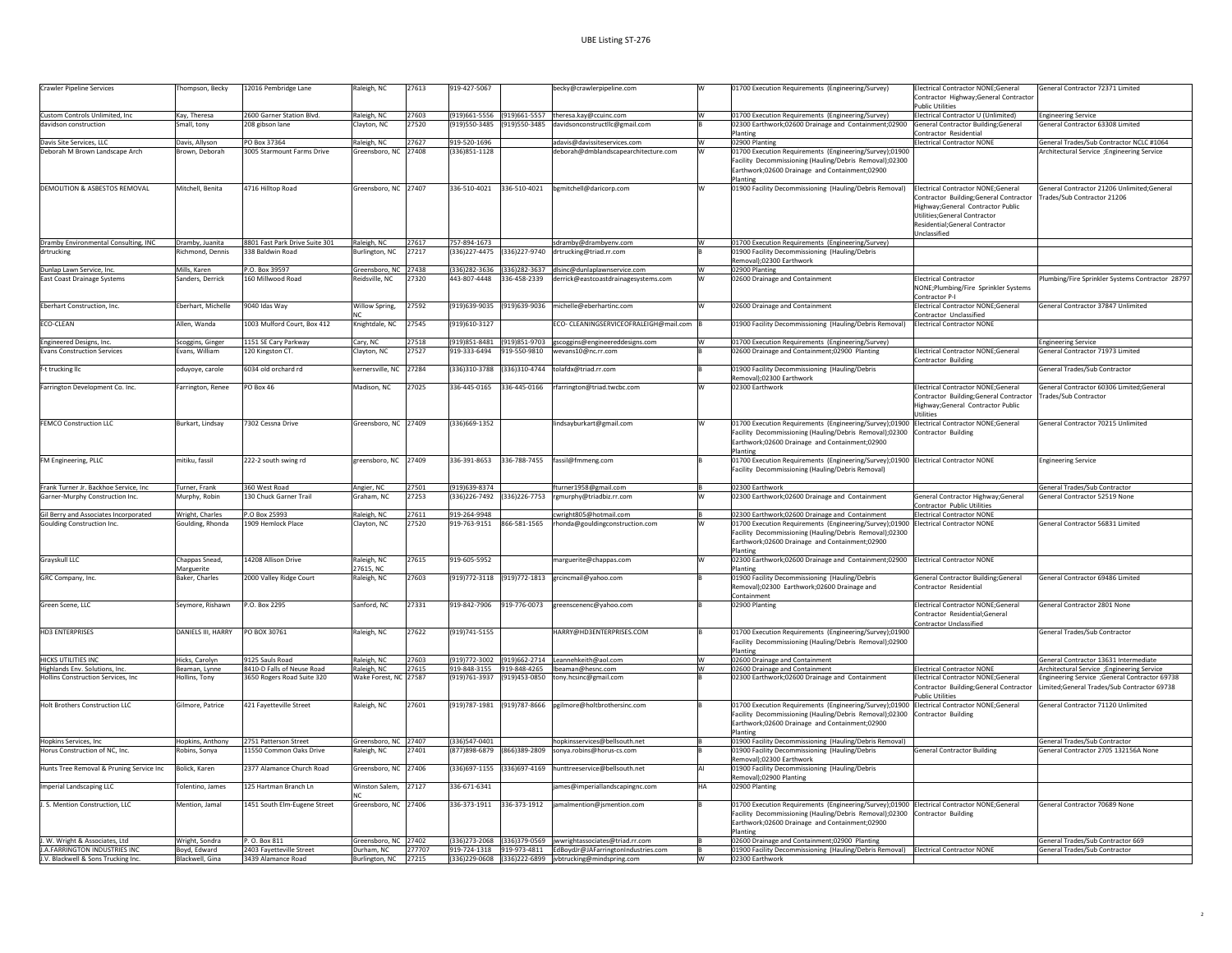| <b>Crawler Pipeline Services</b>         | Thompson, Becky    | 12016 Pembridge Lane           | Raleigh, NC                          | 27613  | 919-427-5067   |                           | becky@crawlerpipeline.com                                                                        |    | 01700 Execution Requirements (Engineering/Survey)                                                                                                                                                                                       | Electrical Contractor NONE:General<br>Contractor Highway;General Contractor                                                                                   | General Contractor 72371 Limited                                                             |
|------------------------------------------|--------------------|--------------------------------|--------------------------------------|--------|----------------|---------------------------|--------------------------------------------------------------------------------------------------|----|-----------------------------------------------------------------------------------------------------------------------------------------------------------------------------------------------------------------------------------------|---------------------------------------------------------------------------------------------------------------------------------------------------------------|----------------------------------------------------------------------------------------------|
|                                          |                    |                                |                                      |        |                |                           |                                                                                                  |    |                                                                                                                                                                                                                                         | <b>Public Utilities</b>                                                                                                                                       |                                                                                              |
| Custom Controls Unlimited, Inc           | Kay, Theresa       | 2600 Garner Station Blvd.      | Raleigh, NC                          | 27603  |                |                           | (919)661-5556 (919)661-5557 theresa.kay@ccuinc.com                                               | W  | 01700 Execution Requirements (Engineering/Survey)                                                                                                                                                                                       | Electrical Contractor U (Unlimited)                                                                                                                           | <b>Engineering Service</b>                                                                   |
| davidson construction                    | Small, tony        | 208 gibson lane                | Clayton, NC                          | 27520  | 919)550-3485   |                           | (919)550-3485 davidsonconstructllc@gmail.com                                                     |    | 02300 Earthwork;02600 Drainage and Containment;02900                                                                                                                                                                                    | General Contractor Building;General                                                                                                                           | General Contractor 63308 Limited                                                             |
|                                          |                    |                                |                                      |        |                |                           |                                                                                                  |    | Planting                                                                                                                                                                                                                                | Contractor Residential                                                                                                                                        |                                                                                              |
| Davis Site Services, LLC                 | Davis, Allyson     | PO Box 37364                   | Raleigh, NC                          | 27627  | 919-520-1696   |                           | adavis@davissiteservices.com                                                                     | W  | 02900 Planting                                                                                                                                                                                                                          | Electrical Contractor NONE                                                                                                                                    | General Trades/Sub Contractor NCLC #1064                                                     |
| Deborah M Brown Landscape Arch           | Brown, Deborah     | 3005 Starmount Farms Drive     | Greensboro, NC 27408                 |        | (336)851-1128  |                           | deborah@dmblandscapearchitecture.com                                                             | W  | 01700 Execution Requirements (Engineering/Survey);01900                                                                                                                                                                                 |                                                                                                                                                               | Architectural Service ; Engineering Service                                                  |
|                                          |                    |                                |                                      |        |                |                           |                                                                                                  |    | Facility Decommissioning (Hauling/Debris Removal);02300<br>Earthwork;02600 Drainage and Containment;02900<br>Planting                                                                                                                   |                                                                                                                                                               |                                                                                              |
| DEMOLITION & ASBESTOS REMOVAL            | Mitchell, Benita   | 4716 Hilltop Road              | Greensboro, NC 27407                 |        |                | 336-510-4021 336-510-4021 | bemitchell@daricorp.com                                                                          |    | 01900 Facility Decommissioning (Hauling/Debris Removal)                                                                                                                                                                                 | Electrical Contractor NONE:General                                                                                                                            | General Contractor 21206 Unlimited:General                                                   |
|                                          |                    |                                |                                      |        |                |                           |                                                                                                  |    |                                                                                                                                                                                                                                         | Contractor Building;General Contractor<br>Highway:General Contractor Public<br>Utilities;General Contractor<br>Residential;General Contractor<br>Unclassified | Frades/Sub Contractor 21206                                                                  |
| Dramby Environmental Consulting, INC     | Dramby, Juanita    | 8801 Fast Park Drive Suite 301 | Raleigh, NC                          | 27617  | 757-894-1673   |                           | sdramby@drambyenv.com                                                                            |    | 01700 Execution Requirements (Engineering/Survey)                                                                                                                                                                                       |                                                                                                                                                               |                                                                                              |
| drtrucking                               | Richmond, Dennis   | 338 Baldwin Road               | Burlington, NC                       | 27217  | 336)227-4475   |                           | (336)227-9740 drtrucking@triad.rr.com                                                            |    | 01900 Facility Decommissioning (Hauling/Debris                                                                                                                                                                                          |                                                                                                                                                               |                                                                                              |
|                                          |                    |                                |                                      |        |                |                           |                                                                                                  |    | Removal);02300 Earthwork                                                                                                                                                                                                                |                                                                                                                                                               |                                                                                              |
| Dunlap Lawn Service, Inc.                | Mills, Karen       | P.O. Box 39597                 | Greensboro, NC 27438                 |        | 336)282-3636   |                           | (336)282-3637 dlsinc@dunlaplawnservice.com                                                       | W  | 02900 Planting                                                                                                                                                                                                                          |                                                                                                                                                               |                                                                                              |
| <b>East Coast Drainage Systems</b>       | Sanders, Derrick   | 160 Millwood Road              | Reidsville, NC                       | 27320  | 443-807-4448   |                           | 336-458-2339 derrick@eastcoastdrainagesystems.com                                                |    | 02600 Drainage and Containment                                                                                                                                                                                                          | Electrical Contractor<br>NONE;Plumbing/Fire Sprinkler Systems<br>Contractor P-I                                                                               | lumbing/Fire Sprinkler Systems Contractor 28797                                              |
| Eberhart Construction, Inc.              | Fherhart, Michelle | 9040 Idas Way                  | Willow Spring,                       | 27592  |                |                           | (919)639-9035 (919)639-9036 michelle@eberhartinc.com                                             |    | 02600 Drainage and Containment                                                                                                                                                                                                          | Electrical Contractor NONE;General<br>Contractor Unclassified                                                                                                 | General Contractor 37847 Unlimited                                                           |
| ECO-CLEAN                                | Allen, Wanda       | 1003 Mulford Court, Box 412    | Knightdale, NC                       | 27545  | 919)610-3127   |                           | ECO- CLEANINGSERVICEOFRALEIGH@mail.com                                                           |    | 01900 Facility Decommissioning (Hauling/Debris Removal)                                                                                                                                                                                 | <b>Electrical Contractor NONE</b>                                                                                                                             |                                                                                              |
|                                          |                    |                                |                                      |        |                |                           |                                                                                                  |    |                                                                                                                                                                                                                                         |                                                                                                                                                               |                                                                                              |
| Engineered Designs, Inc.                 | Scoggins, Ginger   | 1151 SE Cary Parkway           | Carv. NC                             | 27518  |                |                           | (919)851-8481 (919)851-9703 gscoggins@engineereddesigns.com                                      | w  | 01700 Execution Requirements (Engineering/Survey)                                                                                                                                                                                       |                                                                                                                                                               | <b>Engineering Service</b>                                                                   |
| <b>Evans Construction Services</b>       | Evans, William     | 120 Kingston CT.               | Clayton, NC                          | 27527  | 919-333-6494   |                           | 919-550-9810  wevans10@nc.rr.com                                                                 |    | 02600 Drainage and Containment;02900 Planting                                                                                                                                                                                           | Electrical Contractor NONE;General                                                                                                                            | General Contractor 71973 Limited                                                             |
|                                          |                    |                                |                                      |        |                |                           |                                                                                                  |    |                                                                                                                                                                                                                                         | Contractor Building                                                                                                                                           |                                                                                              |
| f-t trucking llc                         | oduyoye, carole    | 6034 old orchard rd            | kernersville, NC 27284               |        | (336)310-3788  |                           | (336)310-4744 tolafdx@triad.rr.com                                                               |    | 01900 Facility Decommissioning (Hauling/Debris<br>Removal);02300 Earthwork                                                                                                                                                              |                                                                                                                                                               | General Trades/Sub Contractor                                                                |
| Farrington Development Co. Inc.          | Farrington, Renee  | PO Box 46                      | Madison, NC                          | 27025  | 336-445-0165   | 336-445-0166              | rfarrington@triad.twcbc.com                                                                      |    | 02300 Earthwork                                                                                                                                                                                                                         | Electrical Contractor NONE;General                                                                                                                            | General Contractor 60306 Limited:General                                                     |
|                                          |                    |                                |                                      |        |                |                           |                                                                                                  |    |                                                                                                                                                                                                                                         | Contractor Building;General Contractor<br>Highway;General Contractor Public<br>Utilities                                                                      | rades/Sub Contractor                                                                         |
| FEMCO Construction LLC                   | Burkart, Lindsav   | 7302 Cessna Drive              | Greensboro, NC 27409                 |        | (336) 669-1352 |                           | lindsavburkart@gmail.com                                                                         |    | 01700 Execution Requirements (Engineering/Survey);01900 Electrical Contractor NONE;General<br>Facility Decommissioning (Hauling/Debris Removal);02300<br>Earthwork;02600 Drainage and Containment;02900<br>Planting                     | <b>Contractor Building</b>                                                                                                                                    | General Contractor 70215 Unlimited                                                           |
| FM Engineering, PLLC                     | nitiku, fassil     | 222-2 south swing rd           | greensboro, NC 27409                 |        | 336-391-8653   | 336-788-7455              | fassil@fmmeng.com                                                                                |    | 01700 Execution Requirements (Engineering/Survey);01900 Electrical Contractor NONE                                                                                                                                                      |                                                                                                                                                               | ngineering Service                                                                           |
|                                          |                    |                                |                                      |        |                |                           |                                                                                                  |    | Facility Decommissioning (Hauling/Debris Removal)                                                                                                                                                                                       |                                                                                                                                                               |                                                                                              |
| Frank Turner Jr. Backhoe Service, Inc.   | Turner, Frank      | 360 West Road                  | Angier, NC                           | 27501  | 919)639-8374   |                           | fturner1958@gmail.com                                                                            |    | 02300 Earthwork                                                                                                                                                                                                                         |                                                                                                                                                               | <b>General Trades/Sub Contractor</b>                                                         |
| Garner-Murphy Construction Inc.          | Murphy, Robin      | 130 Chuck Garner Trail         | Graham, NC                           | 27253  | 336)226-7492   | 336)226-7753              | rgmurphy@triadbiz.rr.com                                                                         |    | 02300 Earthwork;02600 Drainage and Containment                                                                                                                                                                                          | General Contractor Highway;General                                                                                                                            | <b>General Contractor 52519 None</b>                                                         |
|                                          |                    |                                |                                      |        |                |                           |                                                                                                  |    |                                                                                                                                                                                                                                         | Contractor Public Utilities                                                                                                                                   |                                                                                              |
| Gil Berry and Associates Incorporated    | Wright, Charles    | P.O Box 25993                  | Raleigh, NC                          | 27611  | 919-264-9948   |                           | cwright805@hotmail.com                                                                           |    | 02300 Earthwork;02600 Drainage and Containment                                                                                                                                                                                          | Electrical Contractor NONE                                                                                                                                    |                                                                                              |
| Goulding Construction Inc.               | Goulding, Rhonda   | 1909 Hemlock Place             | Clayton, NC                          | 27520  | 919-763-9151   | 866-581-1565              | rhonda@gouldingconstruction.com                                                                  |    | 01700 Execution Requirements (Engineering/Survey);01900 Electrical Contractor NONE                                                                                                                                                      |                                                                                                                                                               | General Contractor 56831 Limited                                                             |
|                                          |                    |                                |                                      |        |                |                           |                                                                                                  |    | Facility Decommissioning (Hauling/Debris Removal);02300<br>Earthwork;02600 Drainage and Containment;02900<br>Planting                                                                                                                   |                                                                                                                                                               |                                                                                              |
| Grayskull LLC                            | Chappas Snead,     | 14208 Allison Drive            | Raleigh, NC                          | 27615  | 919-605-5952   |                           | marguerite@chappas.com                                                                           |    | 02300 Earthwork;02600 Drainage and Containment;02900                                                                                                                                                                                    | <b>Electrical Contractor NONE</b>                                                                                                                             |                                                                                              |
|                                          | Marguerite         |                                | 27615, NC                            |        |                |                           |                                                                                                  |    | lantin                                                                                                                                                                                                                                  |                                                                                                                                                               |                                                                                              |
| GRC Company, Inc.                        | Baker, Charles     | 2000 Valley Ridge Court        | Raleigh, NC                          | 27603  |                |                           | (919)772-3118 (919)772-1813 grcincmail@yahoo.com                                                 |    | 01900 Facility Decommissioning (Hauling/Debris<br>Removal);02300 Earthwork;02600 Drainage and<br>Containment                                                                                                                            | General Contractor Building;General<br>Contractor Residential                                                                                                 | General Contractor 69486 Limited                                                             |
| Green Scene, LLC                         | Seymore, Rishawn   | P.O. Box 2295                  | Sanford, NC                          | 27331  | 919-842-7906   | 919-776-0073              | greenscenenc@yahoo.com                                                                           |    | 02900 Planting                                                                                                                                                                                                                          | Electrical Contractor NONE;General<br>Contractor Residential;General<br>Contractor Unclassified                                                               | General Contractor 2801 None                                                                 |
| <b>HD3 ENTERPRISES</b>                   | DANIELS III, HARRY | PO BOX 30761                   | Raleigh, NC                          | 27622  | (919) 741-5155 |                           | HARRY@HD3ENTERPRISES.COM                                                                         |    | 01700 Execution Requirements (Engineering/Survey);01900<br>Facility Decommissioning (Hauling/Debris Removal);02900                                                                                                                      |                                                                                                                                                               | General Trades/Sub Contractor                                                                |
| HICKS UTILITIES INC.                     | Hicks, Carolyn     | 9125 Sauls Road                |                                      | 27603  |                |                           | (919)772-3002 (919)662-2714 Leannehkeith@aol.com                                                 | w  | Planting                                                                                                                                                                                                                                |                                                                                                                                                               | General Contractor 13631 Intermediate                                                        |
|                                          |                    |                                | Raleigh, NC                          |        |                |                           |                                                                                                  | w  | 02600 Drainage and Containment                                                                                                                                                                                                          |                                                                                                                                                               |                                                                                              |
| Highlands Env. Solutions, Inc.           | Beaman, Lynne      | 8410-D Falls of Neuse Road     | Raleigh, NC<br>Wake Forest, NC 27587 | 27615  |                |                           | 919-848-3155 919-848-4265 Ibeaman@hesnc.com<br>(919)761-3937 (919)453-0850 tony.hcsinc@gmail.com |    | 02600 Drainage and Containment                                                                                                                                                                                                          | <b>Electrical Contractor NONE</b>                                                                                                                             | Architectural Service ; Engineering Service                                                  |
| Hollins Construction Services, Inc       | Hollins, Tony      | 3650 Rogers Road Suite 320     |                                      |        |                |                           |                                                                                                  |    | 02300 Earthwork;02600 Drainage and Containment                                                                                                                                                                                          | <b>Electrical Contractor NONE:General</b><br>Contractor Building;General Contractor<br>Public Utilities                                                       | ingineering Service ;General Contractor 69738<br>Limited;General Trades/Sub Contractor 69738 |
| <b>Holt Brothers Construction LLC</b>    | Gilmore, Patrice   | 421 Fayetteville Street        | Raleigh, NC                          | 27601  |                |                           | (919)787-1981 (919)787-8666 pgilmore@holtbrothersinc.com                                         |    | 01700 Execution Requirements (Engineering/Survey);01900 Electrical Contractor NONE;General<br>Facility Decommissioning (Hauling/Debris Removal);02300 Contractor Building<br>Earthwork;02600 Drainage and Containment;02900<br>Plantine |                                                                                                                                                               | General Contractor 71120 Unlimited                                                           |
| Hopkins Services, Inc                    | Hopkins, Anthony   | 2751 Patterson Street          | Greensboro, NC 27407                 |        | (336)547-0401  |                           | hopkinsservices@bellsouth.net                                                                    |    | 01900 Facility Decommissioning (Hauling/Debris Removal)                                                                                                                                                                                 |                                                                                                                                                               | General Trades/Sub Contractor                                                                |
| Horus Construction of NC. Inc.           | Robins, Sonya      | 11550 Common Oaks Drive        | Raleigh, NC                          | 27401  | (877) 898-6879 | (866)389-2809             | sonya.robins@horus-cs.com                                                                        |    | 01900 Facility Decommissioning (Hauling/Debris                                                                                                                                                                                          | <b>General Contractor Building</b>                                                                                                                            | General Contractor 2705 132156A None                                                         |
| Hunts Tree Removal & Pruning Service Inc | Bolick, Karen      | 2377 Alamance Church Road      | Greensboro, NC 27406                 |        | 336)697-1155   |                           | (336)697-4169 hunttreeservice@bellsouth.net                                                      |    | emoval);02300 Earthwork<br>01900 Facility Decommissioning (Hauling/Debris<br>Removal):02900 Planting                                                                                                                                    |                                                                                                                                                               |                                                                                              |
| Imperial Landscaping LLC                 | Tolentino, James   | 125 Hartman Branch Ln          | Winston Salem,                       | 27127  | 336-671-6341   |                           | james@imperiallandscapingnc.com                                                                  | HA | 02900 Planting                                                                                                                                                                                                                          |                                                                                                                                                               |                                                                                              |
|                                          |                    |                                |                                      |        |                |                           |                                                                                                  |    |                                                                                                                                                                                                                                         |                                                                                                                                                               |                                                                                              |
| J. S. Mention Construction, LLC          | Mention, Jamal     | 1451 South Elm-Eugene Street   | Greensboro, NC 27406                 |        |                |                           | 336-373-1911 336-373-1912 jamalmention@jsmention.com                                             |    | 01700 Execution Requirements (Engineering/Survey);01900 Electrical Contractor NONE;General<br>Facility Decommissioning (Hauling/Debris Removal);02300 Contractor Building<br>Earthwork;02600 Drainage and Containment;02900<br>lanting  |                                                                                                                                                               | General Contractor 70689 None                                                                |
| J. W. Wright & Associates, Ltd           | Wright, Sondra     | P. O. Box 811                  | Greensboro, NC 27402                 |        |                |                           | (336)273-2068 (336)379-0569 jwwrightassociates@triad.rr.com                                      |    | 02600 Drainage and Containment;02900 Planting                                                                                                                                                                                           |                                                                                                                                                               | General Trades/Sub Contractor 669                                                            |
| J.A.FARRINGTON INDUSTRIES INC            | Boyd, Edward       | 2403 Fayetteville Street       | Durham, NC                           | 277707 |                |                           | 919-724-1318 919-973-4811 EdBoydJr@JAFarringtonIndustries.com                                    |    | 01900 Facility Decommissioning (Hauling/Debris Removal) Electrical Contractor NONE                                                                                                                                                      |                                                                                                                                                               | <b>General Trades/Sub Contractor</b>                                                         |
| J.V. Blackwell & Sons Trucking Inc.      | Blackwell, Gina    | 3439 Alamance Road             | Burlington, NC 27215                 |        |                |                           | (336)229-0608 (336)222-6899   ivbtrucking@mindspring.com                                         |    | 02300 Farthwork                                                                                                                                                                                                                         |                                                                                                                                                               |                                                                                              |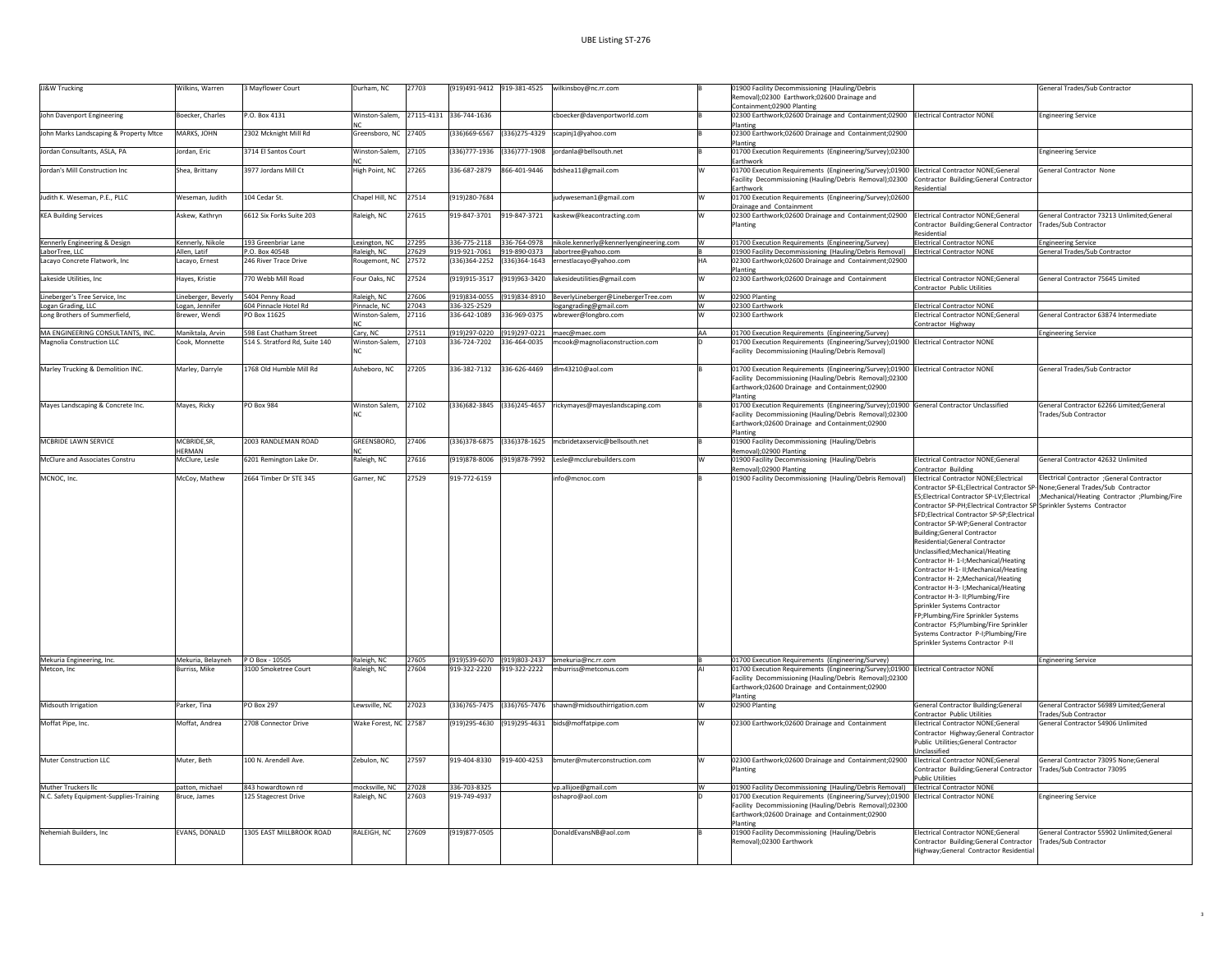| <b>JJ&amp;W Trucking</b>                | Wilkins, Warren                      | 3 Mayflower Court              | Durham, NC                             | 27703 |                 |                 | (919)491-9412 919-381-4525 wilkinsboy@nc.rr.com                   |    | 01900 Facility Decommissioning (Hauling/Debris                                                                                                                                                              |                                                                                                                                                                                                                                                                                                                                                                                                                                                                                                                                                                                                                                                                                                                                                                                                | General Trades/Sub Contractor                                                                                                        |
|-----------------------------------------|--------------------------------------|--------------------------------|----------------------------------------|-------|-----------------|-----------------|-------------------------------------------------------------------|----|-------------------------------------------------------------------------------------------------------------------------------------------------------------------------------------------------------------|------------------------------------------------------------------------------------------------------------------------------------------------------------------------------------------------------------------------------------------------------------------------------------------------------------------------------------------------------------------------------------------------------------------------------------------------------------------------------------------------------------------------------------------------------------------------------------------------------------------------------------------------------------------------------------------------------------------------------------------------------------------------------------------------|--------------------------------------------------------------------------------------------------------------------------------------|
|                                         |                                      |                                |                                        |       |                 |                 |                                                                   |    | Removal);02300 Earthwork;02600 Drainage and<br>Containment;02900 Planting                                                                                                                                   |                                                                                                                                                                                                                                                                                                                                                                                                                                                                                                                                                                                                                                                                                                                                                                                                |                                                                                                                                      |
| John Davenport Engineering              | Boecker, Charles                     | P.O. Box 4131                  | Winston-Salem, 27115-4131 336-744-1636 |       |                 |                 | cboecker@davenportworld.com                                       |    | 02300 Earthwork;02600 Drainage and Containment;02900 Electrical Contractor NONE<br>Planting                                                                                                                 |                                                                                                                                                                                                                                                                                                                                                                                                                                                                                                                                                                                                                                                                                                                                                                                                | <b>Engineering Service</b>                                                                                                           |
| John Marks Landscaping & Property Mtce  | MARKS, JOHN                          | 2302 Mcknight Mill Rd          | Greensboro, NC 27405                   |       | (336)669-6567   |                 | 336)275-4329 scapinj1@yahoo.com                                   |    | 02300 Earthwork;02600 Drainage and Containment;02900<br>Planting                                                                                                                                            |                                                                                                                                                                                                                                                                                                                                                                                                                                                                                                                                                                                                                                                                                                                                                                                                |                                                                                                                                      |
| Iordan Consultants, ASLA, PA            | Jordan, Eric                         | 3714 El Santos Court           | Winston-Salem, 27105                   |       | $(336)777-1936$ | $(336)777-1908$ | iordanla@bellsouth.net                                            |    | 01700 Execution Requirements (Engineering/Survey);02300                                                                                                                                                     |                                                                                                                                                                                                                                                                                                                                                                                                                                                                                                                                                                                                                                                                                                                                                                                                | <b>Engineering Service</b>                                                                                                           |
| Jordan's Mill Construction Inc          | Shea, Brittany                       | 3977 Jordans Mill Ct           | High Point, NC                         | 27265 | 336-687-2879    | 866-401-9446    | bdshea11@gmail.com                                                |    | Earthwork<br>01700 Execution Requirements (Engineering/Survey);01900 Electrical Contractor NONE;General<br>Facility Decommissioning (Hauling/Debris Removal);02300<br>Earthwork                             | Contractor Building:General Contractor<br>Residential                                                                                                                                                                                                                                                                                                                                                                                                                                                                                                                                                                                                                                                                                                                                          | General Contractor None                                                                                                              |
| Judith K. Weseman, P.E., PLLC           | Weseman, Judith                      | 104 Cedar St.                  | Chapel Hill, NC                        | 27514 | (919)280-7684   |                 | judyweseman1@gmail.com                                            |    | 01700 Execution Requirements (Engineering/Survey);02600<br>Drainage and Containment                                                                                                                         |                                                                                                                                                                                                                                                                                                                                                                                                                                                                                                                                                                                                                                                                                                                                                                                                |                                                                                                                                      |
| <b>KEA Building Services</b>            | Askew, Kathryn                       | 6612 Six Forks Suite 203       | Raleigh, NC                            | 27615 | 919-847-3701    |                 | 919-847-3721 kaskew@keacontracting.com                            |    | 02300 Earthwork;02600 Drainage and Containment;02900<br>Planting                                                                                                                                            | <b>Electrical Contractor NONE:General</b><br>Contractor Building;General Contractor<br>Residential                                                                                                                                                                                                                                                                                                                                                                                                                                                                                                                                                                                                                                                                                             | General Contractor 73213 Unlimited:General<br>Trades/Sub Contractor                                                                  |
| Kennerly Engineering & Design           | Kennerly, Nikole                     | 193 Greenbriar Lane            | Lexington, NC                          | 27295 |                 |                 | 336-775-2118 336-764-0978 nikole.kennerly@kennerlyengineering.com |    | 01700 Execution Requirements (Engineering/Survey)                                                                                                                                                           | <b>Electrical Contractor NONE</b>                                                                                                                                                                                                                                                                                                                                                                                                                                                                                                                                                                                                                                                                                                                                                              | <b>Engineering Service</b>                                                                                                           |
| LaborTree, LLC                          | Allen, Latif                         | P.O. Box 40548                 | Raleigh, NC                            | 27629 |                 |                 | 919-921-7061 919-890-0373 labortree@yahoo.com                     |    | 01900 Facility Decommissioning (Hauling/Debris Removal)                                                                                                                                                     | Electrical Contractor NONE                                                                                                                                                                                                                                                                                                                                                                                                                                                                                                                                                                                                                                                                                                                                                                     | General Trades/Sub Contractor                                                                                                        |
| Lacayo Concrete Flatwork, Inc           | Lacayo, Ernest                       | 246 River Trace Drive          | Rougemont, NC                          | 27572 |                 |                 | (336)364-2252 (336)364-1643 ernestlacayo@yahoo.com                | HA | 02300 Earthwork;02600 Drainage and Containment;02900<br>Planting                                                                                                                                            |                                                                                                                                                                                                                                                                                                                                                                                                                                                                                                                                                                                                                                                                                                                                                                                                |                                                                                                                                      |
| Lakeside Utilities, Inc.                | Hayes, Kristie                       | 770 Webb Mill Road             | Four Oaks, NC                          | 27524 | (919)915-3517   | (919)963-3420   | lakesideutilities@gmail.com                                       |    | 02300 Earthwork;02600 Drainage and Containment                                                                                                                                                              | Electrical Contractor NONE:General<br>Contractor Public Utilities                                                                                                                                                                                                                                                                                                                                                                                                                                                                                                                                                                                                                                                                                                                              | General Contractor 75645 Limited                                                                                                     |
| Lineberger's Tree Service, Inc          | Lineberger, Beverly                  | 5404 Penny Road                | Raleigh, NC                            | 27606 | (919)834-0055   | 919)834-8910    | BeverlyLineberger@LinebergerTree.com                              |    | 02900 Planting                                                                                                                                                                                              |                                                                                                                                                                                                                                                                                                                                                                                                                                                                                                                                                                                                                                                                                                                                                                                                |                                                                                                                                      |
| Logan Grading, LLC                      | logan, Jennifer                      | 604 Pinnacle Hotel Rd          | Pinnacle, NC                           | 27043 | 336-325-2529    |                 | ogangrading@gmail.com                                             |    | 02300 Earthwork                                                                                                                                                                                             | Electrical Contractor NONE                                                                                                                                                                                                                                                                                                                                                                                                                                                                                                                                                                                                                                                                                                                                                                     |                                                                                                                                      |
| Long Brothers of Summerfield,           | Brewer, Wendi                        | PO Box 11625                   | Winston-Salem                          | 27116 | 336-642-1089    | 336-969-0375    | wbrewer@longbro.com                                               |    | 02300 Earthwork                                                                                                                                                                                             | Electrical Contractor NONE:General<br>Contractor Highway                                                                                                                                                                                                                                                                                                                                                                                                                                                                                                                                                                                                                                                                                                                                       | General Contractor 63874 Intermediate                                                                                                |
| MA ENGINEERING CONSULTANTS, INC.        | Maniktala, Arvin                     | 598 East Chatham Street        | Cary, NC                               | 27511 |                 |                 | (919)297-0220 (919)297-0221 maec@maec.com                         | AA | 01700 Execution Requirements (Engineering/Survey)                                                                                                                                                           |                                                                                                                                                                                                                                                                                                                                                                                                                                                                                                                                                                                                                                                                                                                                                                                                | <b>Engineering Service</b>                                                                                                           |
| Magnolia Construction LLC               | Cook, Monnette                       | 514 S. Stratford Rd, Suite 140 | Winston-Salem                          | 27103 | 336-724-7202    | 336-464-0035    | cook@magnoliaconstruction.com                                     |    | 01700 Execution Requirements (Engineering/Survey);01900 Electrical Contractor NONE<br>Facility Decommissioning (Hauling/Debris Removal)                                                                     |                                                                                                                                                                                                                                                                                                                                                                                                                                                                                                                                                                                                                                                                                                                                                                                                |                                                                                                                                      |
| Marley Trucking & Demolition INC.       | Marley, Darryle                      | 1768 Old Humble Mill Rd        | Asheboro, NC                           | 27205 | 336-382-7132    | 336-626-4469    | dlm43210@aol.com                                                  |    | 01700 Execution Requirements (Engineering/Survey);01900 Electrical Contractor NONE                                                                                                                          |                                                                                                                                                                                                                                                                                                                                                                                                                                                                                                                                                                                                                                                                                                                                                                                                | General Trades/Sub Contractor                                                                                                        |
|                                         |                                      |                                |                                        |       |                 |                 |                                                                   |    | Facility Decommissioning (Hauling/Debris Removal);02300<br>Earthwork;02600 Drainage and Containment;02900<br>Planting                                                                                       |                                                                                                                                                                                                                                                                                                                                                                                                                                                                                                                                                                                                                                                                                                                                                                                                |                                                                                                                                      |
| Mayes Landscaping & Concrete Inc.       | Mayes, Ricky                         | <b>PO Box 984</b>              | Winston Salem,                         | 27102 |                 |                 | (336)682-3845 (336)245-4657 rickymayes@mayeslandscaping.com       |    | 01700 Execution Requirements (Engineering/Survey);01900 General Contractor Unclassified                                                                                                                     |                                                                                                                                                                                                                                                                                                                                                                                                                                                                                                                                                                                                                                                                                                                                                                                                | General Contractor 62266 Limited:General                                                                                             |
|                                         |                                      |                                |                                        |       |                 |                 |                                                                   |    | Facility Decommissioning (Hauling/Debris Removal);02300<br>Earthwork;02600 Drainage and Containment;02900<br>Planting                                                                                       |                                                                                                                                                                                                                                                                                                                                                                                                                                                                                                                                                                                                                                                                                                                                                                                                | Trades/Sub Contractor                                                                                                                |
| MCBRIDE LAWN SERVICE                    | <b>MCBRIDE, SR,</b><br><b>HFRMAN</b> | 2003 RANDLEMAN ROAD            | GREENSBORO,<br>NC                      | 27406 | (336) 378-6875  | 336)378-1625    | ncbridetaxservic@bellsouth.net                                    |    | 01900 Facility Decommissioning (Hauling/Debris<br>Removal);02900 Planting                                                                                                                                   |                                                                                                                                                                                                                                                                                                                                                                                                                                                                                                                                                                                                                                                                                                                                                                                                |                                                                                                                                      |
| McClure and Associates Constru          | McClure, Lesle                       | 6201 Remington Lake Dr.        | Raleigh, NC                            | 27616 | (919)878-8006   | 919)878-7992    | Lesle@mcclurebuilders.com                                         |    | 01900 Facility Decommissioning (Hauling/Debris<br>Removal);02900 Planting                                                                                                                                   | Electrical Contractor NONE;General<br>Contractor Building                                                                                                                                                                                                                                                                                                                                                                                                                                                                                                                                                                                                                                                                                                                                      | General Contractor 42632 Unlimited                                                                                                   |
| MCNOC, Inc.                             | McCoy, Mathew                        | 2664 Timber Dr STE 345         | Garner, NC                             | 27529 | 919-772-6159    |                 | info@mcnoc.com                                                    |    | 01900 Facility Decommissioning (Hauling/Debris Removal)                                                                                                                                                     | Electrical Contractor NONE;Electrical<br>Contractor SP-EL:Electrical Contractor SP-None:General Trades/Sub_Contractor<br>Contractor SP-PH;Electrical Contractor SP-Sprinkler Systems Contractor<br>SFD;Electrical Contractor SP-SP;Electrical<br>Contractor SP-WP;General Contractor<br><b>Building;General Contractor</b><br>Residential:General Contractor<br>Unclassified:Mechanical/Heating<br>Contractor H- 1-I:Mechanical/Heating<br>Contractor H-1- II:Mechanical/Heating<br>Contractor H- 2;Mechanical/Heating<br>Contractor H-3- I;Mechanical/Heating<br>Contractor H-3- II:Plumbing/Fire<br>Sprinkler Systems Contractor<br>FP;Plumbing/Fire Sprinkler Systems<br>Contractor FS;Plumbing/Fire Sprinkler<br>Systems Contractor P-I;Plumbing/Fire<br>Sprinkler Systems Contractor P-II | Electrical Contractor ;General Contractor<br>ES;Electrical Contractor SP-LV;Electrical :Mechanical/Heating Contractor ;Plumbing/Fire |
| Mekuria Engineering, Inc.               | Mekuria, Belayneh                    | P O Box - 10505                | Raleigh, NC                            | 27605 |                 |                 | (919)539-6070 (919)803-2437 bmekuria@nc.rr.com                    |    | 01700 Execution Requirements (Engineering/Survey)                                                                                                                                                           |                                                                                                                                                                                                                                                                                                                                                                                                                                                                                                                                                                                                                                                                                                                                                                                                | <b>Engineering Service</b>                                                                                                           |
| Metcon, Inc                             | Burriss, Mike                        | 3100 Smoketree Court           | Raleigh, NC                            | 27604 |                 |                 | 919-322-2220 919-322-2222 mburriss@metconus.com                   |    | 01700 Execution Requirements (Engineering/Survey);01900 Electrical Contractor NONE<br>Facility Decommissioning (Hauling/Debris Removal);02300<br>Earthwork;02600 Drainage and Containment;02900<br>Planting |                                                                                                                                                                                                                                                                                                                                                                                                                                                                                                                                                                                                                                                                                                                                                                                                |                                                                                                                                      |
| Midsouth Irrigation                     | Parker, Tina                         | <b>PO Box 297</b>              | Lewsville, NC                          | 27023 |                 |                 | (336)765-7475 (336)765-7476 shawn@midsouthirrigation.com          |    | 02900 Planting                                                                                                                                                                                              | General Contractor Building:General<br>Contractor Public Utilities                                                                                                                                                                                                                                                                                                                                                                                                                                                                                                                                                                                                                                                                                                                             | General Contractor 56989 Limited:General<br>Trades/Sub Contractor                                                                    |
| Moffat Pipe, Inc.                       | Moffat, Andrea                       | 2708 Connector Drive           | Wake Forest, NC 27587                  |       |                 |                 | (919)295-4630 (919)295-4631 bids@moffatpipe.com                   |    | 02300 Earthwork;02600 Drainage and Containment                                                                                                                                                              | <b>Electrical Contractor NONE:General</b><br>Contractor Highway;General Contractor<br>Public Utilities;General Contractor                                                                                                                                                                                                                                                                                                                                                                                                                                                                                                                                                                                                                                                                      | General Contractor 54906 Unlimited                                                                                                   |
| Muter Construction LLC                  | Muter, Beth                          | 100 N. Arendell Ave.           | Zebulon, NC                            | 27597 | 919-404-8330    | 919-400-4253    | bmuter@muterconstruction.com                                      |    | 02300 Earthwork;02600 Drainage and Containment;02900 Electrical Contractor NONE;General<br>Planting                                                                                                         | Unclassified<br>Contractor Building;General Contractor<br>Public Utilities                                                                                                                                                                                                                                                                                                                                                                                                                                                                                                                                                                                                                                                                                                                     | General Contractor 73095 None:General<br>Trades/Sub Contractor 73095                                                                 |
| Muther Truckers IIc                     | patton, michael                      | 843 howardtown rd              | mocksville, NC                         | 27028 | 336-703-8325    |                 | vp.allijoe@gmail.com                                              |    | 01900 Facility Decommissioning (Hauling/Debris Removal) Electrical Contractor NONE                                                                                                                          |                                                                                                                                                                                                                                                                                                                                                                                                                                                                                                                                                                                                                                                                                                                                                                                                |                                                                                                                                      |
| N.C. Safety Equipment-Supplies-Training | Bruce, James                         | 125 Stagecrest Drive           | Raleigh, NC                            | 27603 | 919-749-4937    |                 | oshapro@aol.con                                                   |    | 01700 Execution Requirements (Engineering/Survey);01900 Electrical Contractor NONE<br>Facility Decommissioning (Hauling/Debris Removal);02300<br>Earthwork;02600 Drainage and Containment;02900<br>Plantine |                                                                                                                                                                                                                                                                                                                                                                                                                                                                                                                                                                                                                                                                                                                                                                                                | <b>Ingineering Service</b>                                                                                                           |
| Nehemiah Builders, Inc.                 | EVANS, DONALD                        | 1305 EAST MILLBROOK ROAD       | RALEIGH, NC                            | 27609 | (919)877-0505   |                 | DonaldEvansNB@aol.com                                             |    | 01900 Facility Decommissioning (Hauling/Debris<br>Removal):02300 Earthwork                                                                                                                                  | Electrical Contractor NONE;General<br>Contractor Building:General Contractor<br>Highway;General Contractor Residential                                                                                                                                                                                                                                                                                                                                                                                                                                                                                                                                                                                                                                                                         | General Contractor 55902 Unlimited;General<br>Trades/Sub Contractor                                                                  |

3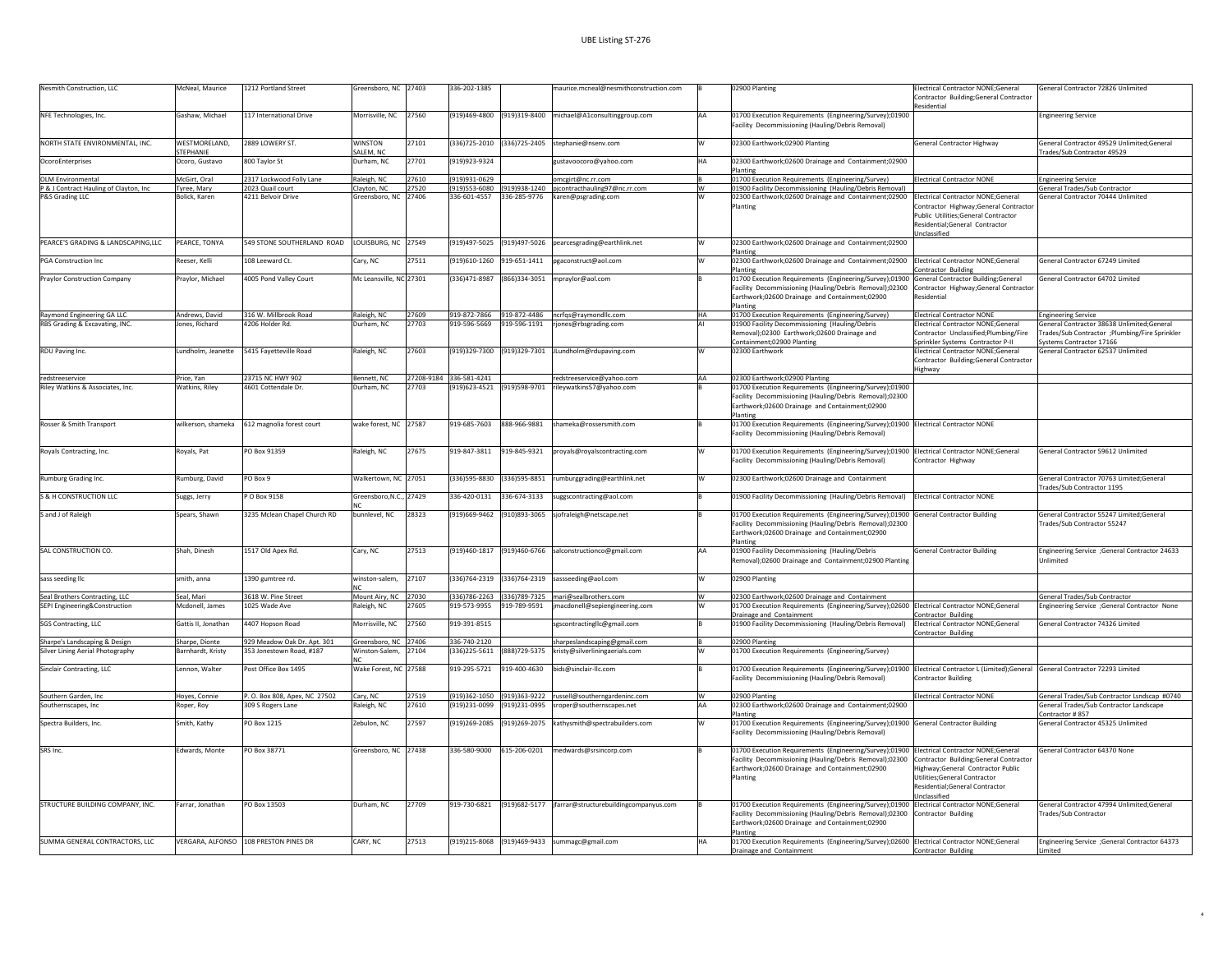| Nesmith Construction, LLC                                         | McNeal, Maurice                    | 1212 Portland Street                                   | Greensboro, NC 27403                  |                | 336-202-1385                 |                            | maurice.mcneal@nesmithconstruction.com                                              |           | 02900 Planting                                                                                                                                                                                                      | Electrical Contractor NONE;General<br>Contractor Building;General Contractor<br>Residential                                                                          | General Contractor 72826 Unlimited                                                                                       |
|-------------------------------------------------------------------|------------------------------------|--------------------------------------------------------|---------------------------------------|----------------|------------------------------|----------------------------|-------------------------------------------------------------------------------------|-----------|---------------------------------------------------------------------------------------------------------------------------------------------------------------------------------------------------------------------|----------------------------------------------------------------------------------------------------------------------------------------------------------------------|--------------------------------------------------------------------------------------------------------------------------|
| NFE Technologies, Inc.                                            | Gashaw, Michael                    | 117 International Drive                                | Morrisville, NC 27560                 |                |                              |                            | (919)469-4800 (919)319-8400 michael@A1consultinggroup.com                           | <b>AA</b> | 01700 Execution Requirements (Engineering/Survey);01900<br>Facility Decommissioning (Hauling/Debris Removal)                                                                                                        |                                                                                                                                                                      | <b>Engineering Service</b>                                                                                               |
| NORTH STATE ENVIRONMENTAL, INC.                                   | WESTMORELAND.<br>STEPHANIE         | 2889 LOWERY ST.                                        | WINSTON                               | 27101          |                              |                            | (336)725-2010 (336)725-2405 stephanie@nsenv.com                                     |           | 02300 Earthwork;02900 Planting                                                                                                                                                                                      | <b>General Contractor Highway</b>                                                                                                                                    | General Contractor 49529 Unlimited;General<br>Trades/Sub Contractor 49529                                                |
| OcoroEnterprises                                                  | Ocoro, Gustavo                     | 800 Taylor St                                          | SALEM, NC<br>Durham, NC               | 27701          | (919)923-9324                |                            | gustavoocoro@yahoo.com                                                              | HΔ        | 02300 Earthwork;02600 Drainage and Containment;02900                                                                                                                                                                |                                                                                                                                                                      |                                                                                                                          |
| <b>OLM Environmental</b>                                          | McGirt, Oral                       | 2317 Lockwood Folly Lane                               | Raleigh, NC                           | 27610          | (919)931-0629                |                            | omcgirt@nc.rr.com                                                                   |           | Planting<br>01700 Execution Requirements (Engineering/Survey)                                                                                                                                                       | Electrical Contractor NONE                                                                                                                                           | <b>Engineering Service</b>                                                                                               |
| P & J Contract Hauling of Clayton, Inc.                           | Tyree, Mary                        | 2023 Quail court                                       | Clayton, NC                           | 27520          |                              |                            | (919)553-6080 (919)938-1240 pjcontracthauling97@nc.rr.com                           | w         | 01900 Facility Decommissioning (Hauling/Debris Removal)                                                                                                                                                             |                                                                                                                                                                      | General Trades/Sub Contractor                                                                                            |
| P&S Grading LLC                                                   | olick, Karen                       | 4211 Belvoir Drive                                     | Greensboro, NC                        | 27406          | 336-601-4557                 |                            | 336-285-9776 karen@psgrading.com                                                    |           | 02300 Earthwork;02600 Drainage and Containment;02900<br>Planting                                                                                                                                                    | Electrical Contractor NONE:General<br>Contractor Highway:General Contracto<br>ublic Utilities;General Contractor<br>Residential:General Contractor<br>Unclassified   | General Contractor 70444 Unlimited                                                                                       |
| PEARCE'S GRADING & LANDSCAPING.ILC                                | PEARCE, TONYA                      | 549 STONE SOUTHERLAND ROAD                             | LOUISBURG, NC 27549                   |                |                              |                            | (919)497-5025 (919)497-5026 pearcesgrading@earthlink.net                            |           | 02300 Earthwork;02600 Drainage and Containment;02900<br>Planting                                                                                                                                                    |                                                                                                                                                                      |                                                                                                                          |
| PGA Construction Inc                                              | Reeser, Kelli                      | 108 Leeward Ct.                                        | Cary, NC                              | 27511          |                              | (919)610-1260 919-651-1411 | pgaconstruct@aol.com                                                                | W         | 02300 Earthwork;02600 Drainage and Containment;02900<br>Planting                                                                                                                                                    | Electrical Contractor NONE:General<br>Contractor Building                                                                                                            | General Contractor 67249 Limited                                                                                         |
| <b>Praylor Construction Company</b>                               | Praylor, Michael                   | 4005 Pond Valley Court                                 | Mc Leansville, NC 27301               |                | (336)471-8987                |                            | (866)334-3051 mpraylor@aol.com                                                      |           | 01700 Execution Requirements (Engineering/Survey);01900<br>Facility Decommissioning (Hauling/Debris Removal);02300<br>Earthwork;02600 Drainage and Containment;02900<br>Planting                                    | General Contractor Building; General<br>Contractor Highway;General Contracto<br>Residential                                                                          | General Contractor 64702 Limited                                                                                         |
| Raymond Engineering GA LLC                                        | Andrews, David                     | 316 W. Millbrook Road                                  | Raleigh, NC                           | 27609          | 919-872-7866                 |                            | 919-872-4486 ncrfqs@raymondllc.com                                                  | <b>HA</b> | 01700 Execution Requirements (Engineering/Survey)                                                                                                                                                                   | <b>Electrical Contractor NONE</b>                                                                                                                                    | <b>Engineering Service</b>                                                                                               |
| RBS Grading & Excavating, INC.                                    | ones, Richard                      | 1206 Holder Rd.                                        | Durham, NC                            | 27703          | 919-596-5669                 | 919-596-1191               | rjones@rbsgrading.com                                                               |           | 01900 Facility Decommissioning (Hauling/Debris<br>Removal):02300 Earthwork:02600 Drainage and<br>Containment;02900 Planting                                                                                         | lectrical Contractor NONE;General<br>Contractor Unclassified:Plumbing/Fire<br>Sprinkler Systems Contractor P-II                                                      | General Contractor 38638 Unlimited;General<br>Trades/Sub Contractor ;Plumbing/Fire Sprinkler<br>Systems Contractor 17166 |
| RDU Paving Inc.                                                   | Lundholm, Jeanette                 | 5415 Favetteville Road                                 | Raleigh, NC                           | 27603          |                              |                            | (919)329-7300 (919)329-7301 JLundholm@rdupaving.com                                 | w         | 02300 Earthwork                                                                                                                                                                                                     | Electrical Contractor NONE;General<br>Contractor Building;General Contractor<br>Highway                                                                              | General Contractor 62537 Unlimited                                                                                       |
| redstreeservice                                                   | Price, Yan                         | 23715 NC HWY 902                                       | Bennett, NC                           | 27208-9184     | 336-581-4241                 |                            | redstreeservice@yahoo.com                                                           | AA        | 02300 Earthwork;02900 Planting                                                                                                                                                                                      |                                                                                                                                                                      |                                                                                                                          |
| Riley Watkins & Associates, Inc.                                  | Watkins, Riley                     | 4601 Cottendale Dr.                                    | Durham, NC                            | 27703          |                              |                            | (919)623-4521 (919)598-9701 rileywatkins57@yahoo.com                                |           | 01700 Execution Requirements (Engineering/Survey);01900<br>Facility Decommissioning (Hauling/Debris Removal);02300<br>Earthwork;02600 Drainage and Containment;02900<br>Planting                                    |                                                                                                                                                                      |                                                                                                                          |
| Rosser & Smith Transport                                          | wilkerson, shameka                 | 612 magnolia forest court                              | wake forest, NC 27587                 |                | 919-685-7603                 |                            | 888-966-9881 shameka@rossersmith.com                                                |           | 01700 Execution Requirements (Engineering/Survey);01900 Electrical Contractor NONE<br>Facility Decommissioning (Hauling/Debris Removal)                                                                             |                                                                                                                                                                      |                                                                                                                          |
| Rovals Contracting, Inc.                                          | Rovals, Pat                        | PO Box 91359                                           | Raleigh, NC                           | 27675          | 919-847-3811                 | 919-845-9321               | proyals@royalscontracting.com                                                       |           | 01700 Execution Requirements (Engineering/Survey);01900 Electrical Contractor NONE;General<br>Facility Decommissioning (Hauling/Debris Removal)                                                                     | Contractor Highway                                                                                                                                                   | General Contractor 59612 Unlimited                                                                                       |
| Rumburg Grading Inc.                                              | Rumburg, David                     | PO Box 9                                               | Walkertown, NC 27051                  |                | (336) 595-8830               | (336) 595-8851             | rumburggrading@earthlink.net                                                        |           | 02300 Earthwork;02600 Drainage and Containment                                                                                                                                                                      |                                                                                                                                                                      | General Contractor 70763 Limited:General<br>Trades/Sub Contractor 1195                                                   |
| S & H CONSTRUCTION LLC                                            | Suggs, Jerry                       | P O Box 9158                                           | Greensboro, N.C., 27429               |                | 336-420-0131                 | 336-674-3133               | suggscontracting@aol.com                                                            |           | 01900 Facility Decommissioning (Hauling/Debris Removal)                                                                                                                                                             | <b>Electrical Contractor NONE</b>                                                                                                                                    |                                                                                                                          |
| S and J of Raleigh                                                | Spears, Shawn                      | 3235 Mclean Chapel Church RD                           | bunnlevel, NC                         | 28323          |                              |                            | (919)669-9462 (910)893-3065 sjofraleigh@netscape.net                                |           | 01700 Execution Requirements (Engineering/Survey);01900 General Contractor Building<br>Facility Decommissioning (Hauling/Debris Removal);02300<br>Earthwork;02600 Drainage and Containment;02900<br>Planting        |                                                                                                                                                                      | General Contractor 55247 Limited:General<br>Trades/Sub Contractor 55247                                                  |
| SAL CONSTRUCTION CO.                                              | Shah, Dinesh                       | 1517 Old Apex Rd.                                      | Cary, NC                              | 27513          |                              |                            | (919)460-1817 (919)460-6766 salconstructionco@gmail.com                             | AA        | 01900 Facility Decommissioning (Hauling/Debris<br>Removal);02600 Drainage and Containment;02900 Planting                                                                                                            | <b>General Contractor Building</b>                                                                                                                                   | Engineering Service ;General Contractor 24633<br>Unlimited                                                               |
| sass seeding llc                                                  | smith, anna                        | 1390 gumtree rd.                                       | winston-salem.                        | 27107          |                              |                            | (336)764-2319 (336)764-2319 sassseeding@aol.com                                     |           | 02900 Planting                                                                                                                                                                                                      |                                                                                                                                                                      |                                                                                                                          |
| Seal Brothers Contracting, LLC<br>SEPI Engineering&Construction   | Seal, Mari<br>Mcdonell, James      | 3618 W. Pine Street<br>1025 Wade Ave                   | Mount Airy, NC<br>Raleigh, NC         | 27030<br>27605 | 919-573-9955                 | 919-789-9591               | (336)786-2263 (336)789-7325 mari@sealbrothers.com<br>jmacdonell@sepiengineering.com | w         | 02300 Earthwork;02600 Drainage and Containment<br>01700 Execution Requirements (Engineering/Survey);02600                                                                                                           | Electrical Contractor NONE:General                                                                                                                                   | General Trades/Sub Contractor<br>Engineering Service ;General Contractor None                                            |
|                                                                   |                                    |                                                        |                                       |                |                              |                            |                                                                                     |           | Drainage and Containment                                                                                                                                                                                            | Contractor Building                                                                                                                                                  |                                                                                                                          |
| SGS Contracting, LLC                                              | Gattis II, Jonathan                | 4407 Hopson Road                                       | Morrisville, NC                       | 27560          | 919-391-8515                 |                            | sgscontractingllc@gmail.com                                                         |           | 01900 Facility Decommissioning (Hauling/Debris Removal)                                                                                                                                                             | Electrical Contractor NONE;General<br>Contractor Building                                                                                                            | General Contractor 74326 Limited                                                                                         |
| Sharpe's Landscaping & Design<br>Silver Lining Aerial Photography | Sharpe, Dionte<br>arnhardt, Kristy | 929 Meadow Oak Dr. Apt. 301<br>53 Jonestown Road, #187 | Greensboro, NC 27406<br>Vinston-Salem | 7104           | 336-740-2120<br>336)225-5611 | 888)729-5375               | sharpeslandscaping@gmail.com<br>risty@silverliningaerials.com                       |           | 02900 Planting<br>01700 Execution Requirements (Engineering/Survey)                                                                                                                                                 |                                                                                                                                                                      |                                                                                                                          |
| Sinclair Contracting, LLC                                         | Lennon, Walter                     | Post Office Box 1495                                   | Wake Forest, NC 27588                 |                | 919-295-5721                 | 919-400-4630               | bids@sinclair-llc.com                                                               |           | 01700 Execution Requirements (Engineering/Survey);01900<br>Facility Decommissioning (Hauling/Debris Removal)                                                                                                        | Electrical Contractor L (Limited);General General Contractor 72293 Limited<br>Contractor Building                                                                    |                                                                                                                          |
| Southern Garden, Inc.                                             | Hoyes, Connie                      | P. O. Box 808, Apex, NC 27502                          | Cary, NC                              | 27519          |                              |                            | (919)362-1050 (919)363-9222 russell@southerngardeninc.com                           | <b>W</b>  | 02900 Planting                                                                                                                                                                                                      | <b>Electrical Contractor NONE</b>                                                                                                                                    | General Trades/Sub Contractor Lsndscap #0740                                                                             |
| Southernscapes, Inc                                               | Roper, Roy                         | 309 S Rogers Lane                                      | aleigh, NC                            | 27610          | (919)231-0099                | 919)231-0995               | sroper@southernscapes.net                                                           | AA        | 02300 Earthwork;02600 Drainage and Containment;02900                                                                                                                                                                |                                                                                                                                                                      | General Trades/Sub Contractor Landscape                                                                                  |
| Spectra Builders, Inc.                                            | Smith, Kathy                       | PO Box 1215                                            | Zebulon, NC                           | 27597          | (919)269-2085                | (919)269-2075              | kathysmith@spectrabuilders.com                                                      |           | Planting<br>01700 Execution Requirements (Engineering/Survey);01900 General Contractor Building<br>Facility Decommissioning (Hauling/Debris Removal                                                                 |                                                                                                                                                                      | Contractor #857<br>General Contractor 45325 Unlimited                                                                    |
| SRS Inc.                                                          | Edwards, Monte                     | PO Box 38771                                           | Greensboro, NC 27438                  |                | 336-580-9000                 | 615-206-0201               | medwards@srsincorp.com                                                              |           | 01700 Execution Requirements (Engineering/Survey);01900                                                                                                                                                             | Electrical Contractor NONE:General                                                                                                                                   | General Contractor 64370 None                                                                                            |
|                                                                   |                                    |                                                        |                                       |                |                              |                            |                                                                                     |           | Facility Decommissioning (Hauling/Debris Removal);02300<br>Earthwork;02600 Drainage and Containment;02900<br>Planting                                                                                               | Contractor Building;General Contractor<br>Highway;General Contractor Public<br>Utilities;General Contractor<br>Residential;General Contractor<br><b>Unclassified</b> |                                                                                                                          |
| STRUCTURE BUILDING COMPANY, INC.                                  | Farrar, Jonathan                   | PO Box 13503                                           | Durham, NC                            | 27709          | 919-730-6821                 |                            | (919)682-5177 jfarrar@structurebuildingcompanyus.com                                |           | 01700 Execution Requirements (Engineering/Survey);01900 Electrical Contractor NONE;General<br>Facility Decommissioning (Hauling/Debris Removal);02300<br>Earthwork;02600 Drainage and Containment;02900<br>Planting | Contractor Building                                                                                                                                                  | General Contractor 47994 Unlimited:General<br>Trades/Sub Contractor                                                      |
| SUMMA GENERAL CONTRACTORS, LLC                                    |                                    | VERGARA, ALFONSO 108 PRESTON PINES DR                  | CARY, NC                              | 27513          |                              |                            | (919)215-8068 (919)469-9433 summagc@gmail.com                                       | HΔ        | 01700 Execution Requirements (Engineering/Survey);02600 Electrical Contractor NONE;General<br>Drainage and Containment                                                                                              | Contractor Building                                                                                                                                                  | Engineering Service ; General Contractor 64373<br>Limited                                                                |
|                                                                   |                                    |                                                        |                                       |                |                              |                            |                                                                                     |           |                                                                                                                                                                                                                     |                                                                                                                                                                      |                                                                                                                          |